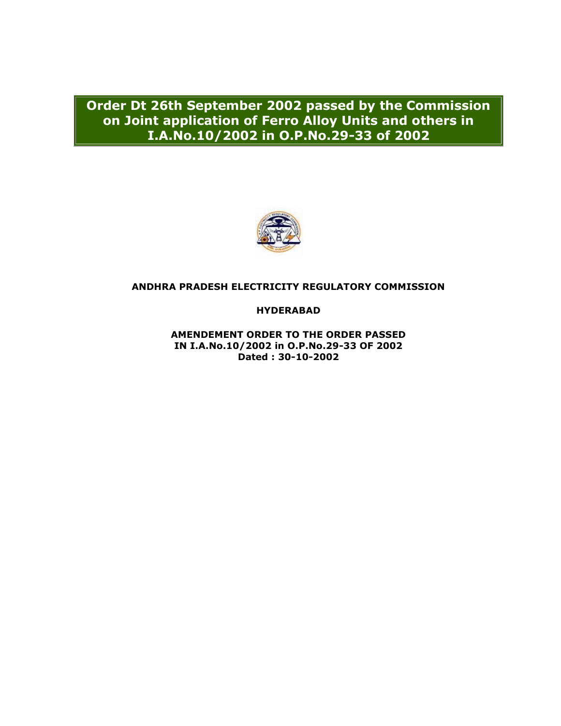**Order Dt 26th September 2002 passed by the Commission on Joint application of Ferro Alloy Units and others in I.A.No.10/2002 in O.P.No.29-33 of 2002** 



## **ANDHRA PRADESH ELECTRICITY REGULATORY COMMISSION**

**HYDERABAD** 

**AMENDEMENT ORDER TO THE ORDER PASSED IN I.A.No.10/2002 in O.P.No.29-33 OF 2002 Dated : 30-10-2002**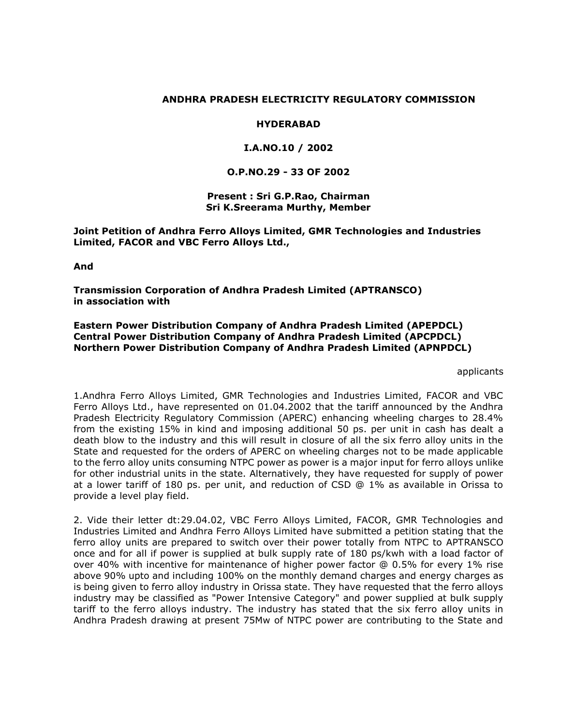## **ANDHRA PRADESH ELECTRICITY REGULATORY COMMISSION**

## **HYDERABAD**

# **I.A.NO.10 / 2002**

## **O.P.NO.29 - 33 OF 2002**

## **Present : Sri G.P.Rao, Chairman Sri K.Sreerama Murthy, Member**

**Joint Petition of Andhra Ferro Alloys Limited, GMR Technologies and Industries Limited, FACOR and VBC Ferro Alloys Ltd.,** 

**And** 

**Transmission Corporation of Andhra Pradesh Limited (APTRANSCO) in association with** 

#### **Eastern Power Distribution Company of Andhra Pradesh Limited (APEPDCL) Central Power Distribution Company of Andhra Pradesh Limited (APCPDCL) Northern Power Distribution Company of Andhra Pradesh Limited (APNPDCL)**

applicants

1.Andhra Ferro Alloys Limited, GMR Technologies and Industries Limited, FACOR and VBC Ferro Alloys Ltd., have represented on 01.04.2002 that the tariff announced by the Andhra Pradesh Electricity Regulatory Commission (APERC) enhancing wheeling charges to 28.4% from the existing 15% in kind and imposing additional 50 ps. per unit in cash has dealt a death blow to the industry and this will result in closure of all the six ferro alloy units in the State and requested for the orders of APERC on wheeling charges not to be made applicable to the ferro alloy units consuming NTPC power as power is a major input for ferro alloys unlike for other industrial units in the state. Alternatively, they have requested for supply of power at a lower tariff of 180 ps. per unit, and reduction of CSD @ 1% as available in Orissa to provide a level play field.

2. Vide their letter dt:29.04.02, VBC Ferro Alloys Limited, FACOR, GMR Technologies and Industries Limited and Andhra Ferro Alloys Limited have submitted a petition stating that the ferro alloy units are prepared to switch over their power totally from NTPC to APTRANSCO once and for all if power is supplied at bulk supply rate of 180 ps/kwh with a load factor of over 40% with incentive for maintenance of higher power factor @ 0.5% for every 1% rise above 90% upto and including 100% on the monthly demand charges and energy charges as is being given to ferro alloy industry in Orissa state. They have requested that the ferro alloys industry may be classified as "Power Intensive Category" and power supplied at bulk supply tariff to the ferro alloys industry. The industry has stated that the six ferro alloy units in Andhra Pradesh drawing at present 75Mw of NTPC power are contributing to the State and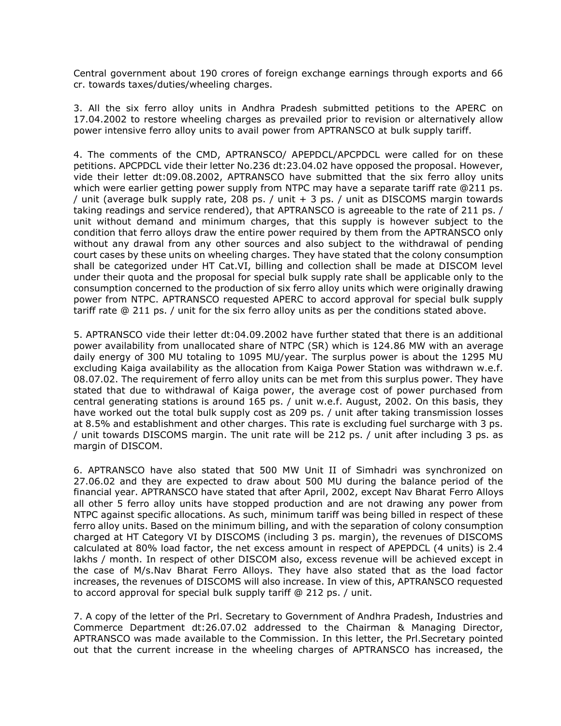Central government about 190 crores of foreign exchange earnings through exports and 66 cr. towards taxes/duties/wheeling charges.

3. All the six ferro alloy units in Andhra Pradesh submitted petitions to the APERC on 17.04.2002 to restore wheeling charges as prevailed prior to revision or alternatively allow power intensive ferro alloy units to avail power from APTRANSCO at bulk supply tariff.

4. The comments of the CMD, APTRANSCO/ APEPDCL/APCPDCL were called for on these petitions. APCPDCL vide their letter No.236 dt:23.04.02 have opposed the proposal. However, vide their letter dt:09.08.2002, APTRANSCO have submitted that the six ferro alloy units which were earlier getting power supply from NTPC may have a separate tariff rate @211 ps. / unit (average bulk supply rate, 208 ps. / unit + 3 ps. / unit as DISCOMS margin towards taking readings and service rendered), that APTRANSCO is agreeable to the rate of 211 ps. / unit without demand and minimum charges, that this supply is however subject to the condition that ferro alloys draw the entire power required by them from the APTRANSCO only without any drawal from any other sources and also subject to the withdrawal of pending court cases by these units on wheeling charges. They have stated that the colony consumption shall be categorized under HT Cat.VI, billing and collection shall be made at DISCOM level under their quota and the proposal for special bulk supply rate shall be applicable only to the consumption concerned to the production of six ferro alloy units which were originally drawing power from NTPC. APTRANSCO requested APERC to accord approval for special bulk supply tariff rate @ 211 ps. / unit for the six ferro alloy units as per the conditions stated above.

5. APTRANSCO vide their letter dt:04.09.2002 have further stated that there is an additional power availability from unallocated share of NTPC (SR) which is 124.86 MW with an average daily energy of 300 MU totaling to 1095 MU/year. The surplus power is about the 1295 MU excluding Kaiga availability as the allocation from Kaiga Power Station was withdrawn w.e.f. 08.07.02. The requirement of ferro alloy units can be met from this surplus power. They have stated that due to withdrawal of Kaiga power, the average cost of power purchased from central generating stations is around 165 ps. / unit w.e.f. August, 2002. On this basis, they have worked out the total bulk supply cost as 209 ps. / unit after taking transmission losses at 8.5% and establishment and other charges. This rate is excluding fuel surcharge with 3 ps. / unit towards DISCOMS margin. The unit rate will be 212 ps. / unit after including 3 ps. as margin of DISCOM.

6. APTRANSCO have also stated that 500 MW Unit II of Simhadri was synchronized on 27.06.02 and they are expected to draw about 500 MU during the balance period of the financial year. APTRANSCO have stated that after April, 2002, except Nav Bharat Ferro Alloys all other 5 ferro alloy units have stopped production and are not drawing any power from NTPC against specific allocations. As such, minimum tariff was being billed in respect of these ferro alloy units. Based on the minimum billing, and with the separation of colony consumption charged at HT Category VI by DISCOMS (including 3 ps. margin), the revenues of DISCOMS calculated at 80% load factor, the net excess amount in respect of APEPDCL (4 units) is 2.4 lakhs / month. In respect of other DISCOM also, excess revenue will be achieved except in the case of M/s.Nav Bharat Ferro Alloys. They have also stated that as the load factor increases, the revenues of DISCOMS will also increase. In view of this, APTRANSCO requested to accord approval for special bulk supply tariff @ 212 ps. / unit.

7. A copy of the letter of the Prl. Secretary to Government of Andhra Pradesh, Industries and Commerce Department dt:26.07.02 addressed to the Chairman & Managing Director, APTRANSCO was made available to the Commission. In this letter, the Prl.Secretary pointed out that the current increase in the wheeling charges of APTRANSCO has increased, the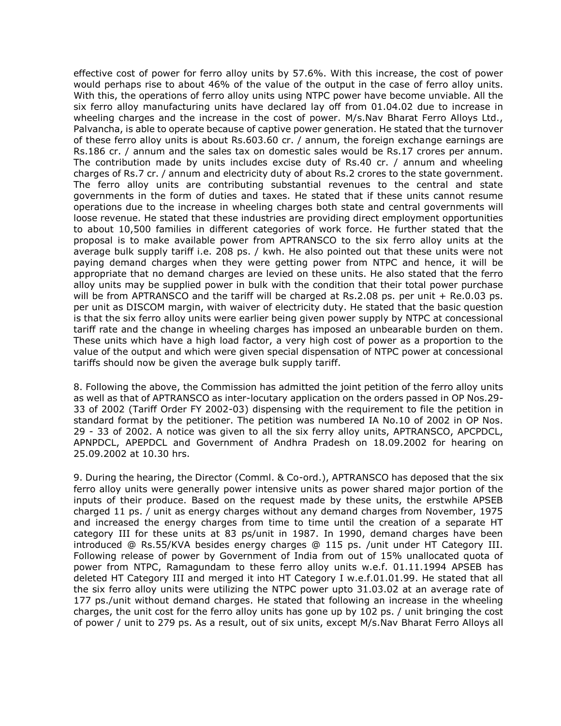effective cost of power for ferro alloy units by 57.6%. With this increase, the cost of power would perhaps rise to about 46% of the value of the output in the case of ferro alloy units. With this, the operations of ferro alloy units using NTPC power have become unviable. All the six ferro alloy manufacturing units have declared lay off from 01.04.02 due to increase in wheeling charges and the increase in the cost of power. M/s.Nav Bharat Ferro Alloys Ltd., Palvancha, is able to operate because of captive power generation. He stated that the turnover of these ferro alloy units is about Rs.603.60 cr. / annum, the foreign exchange earnings are Rs.186 cr. / annum and the sales tax on domestic sales would be Rs.17 crores per annum. The contribution made by units includes excise duty of Rs.40 cr. / annum and wheeling charges of Rs.7 cr. / annum and electricity duty of about Rs.2 crores to the state government. The ferro alloy units are contributing substantial revenues to the central and state governments in the form of duties and taxes. He stated that if these units cannot resume operations due to the increase in wheeling charges both state and central governments will loose revenue. He stated that these industries are providing direct employment opportunities to about 10,500 families in different categories of work force. He further stated that the proposal is to make available power from APTRANSCO to the six ferro alloy units at the average bulk supply tariff i.e. 208 ps. / kwh. He also pointed out that these units were not paying demand charges when they were getting power from NTPC and hence, it will be appropriate that no demand charges are levied on these units. He also stated that the ferro alloy units may be supplied power in bulk with the condition that their total power purchase will be from APTRANSCO and the tariff will be charged at Rs.2.08 ps. per unit + Re.0.03 ps. per unit as DISCOM margin, with waiver of electricity duty. He stated that the basic question is that the six ferro alloy units were earlier being given power supply by NTPC at concessional tariff rate and the change in wheeling charges has imposed an unbearable burden on them. These units which have a high load factor, a very high cost of power as a proportion to the value of the output and which were given special dispensation of NTPC power at concessional tariffs should now be given the average bulk supply tariff.

8. Following the above, the Commission has admitted the joint petition of the ferro alloy units as well as that of APTRANSCO as inter-locutary application on the orders passed in OP Nos.29- 33 of 2002 (Tariff Order FY 2002-03) dispensing with the requirement to file the petition in standard format by the petitioner. The petition was numbered IA No.10 of 2002 in OP Nos. 29 - 33 of 2002. A notice was given to all the six ferry alloy units, APTRANSCO, APCPDCL, APNPDCL, APEPDCL and Government of Andhra Pradesh on 18.09.2002 for hearing on 25.09.2002 at 10.30 hrs.

9. During the hearing, the Director (Comml. & Co-ord.), APTRANSCO has deposed that the six ferro alloy units were generally power intensive units as power shared major portion of the inputs of their produce. Based on the request made by these units, the erstwhile APSEB charged 11 ps. / unit as energy charges without any demand charges from November, 1975 and increased the energy charges from time to time until the creation of a separate HT category III for these units at 83 ps/unit in 1987. In 1990, demand charges have been introduced @ Rs.55/KVA besides energy charges @ 115 ps. /unit under HT Category III. Following release of power by Government of India from out of 15% unallocated quota of power from NTPC, Ramagundam to these ferro alloy units w.e.f. 01.11.1994 APSEB has deleted HT Category III and merged it into HT Category I w.e.f.01.01.99. He stated that all the six ferro alloy units were utilizing the NTPC power upto 31.03.02 at an average rate of 177 ps./unit without demand charges. He stated that following an increase in the wheeling charges, the unit cost for the ferro alloy units has gone up by 102 ps. / unit bringing the cost of power / unit to 279 ps. As a result, out of six units, except M/s.Nav Bharat Ferro Alloys all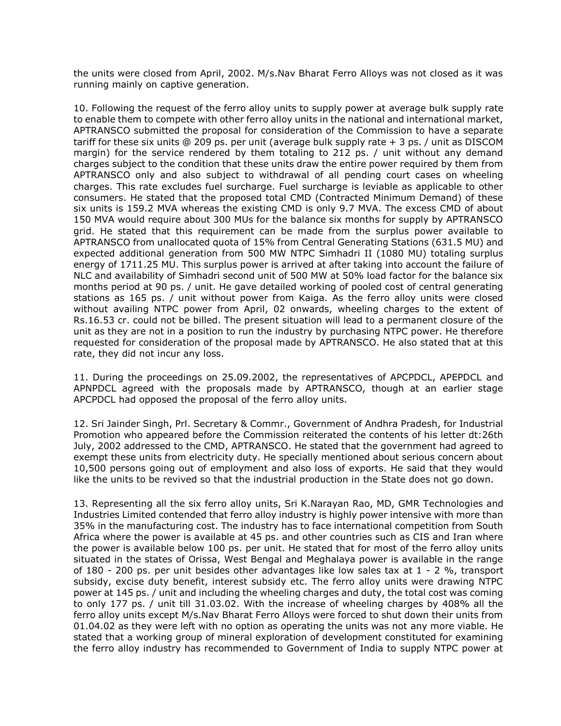the units were closed from April, 2002. M/s.Nav Bharat Ferro Alloys was not closed as it was running mainly on captive generation.

10. Following the request of the ferro alloy units to supply power at average bulk supply rate to enable them to compete with other ferro alloy units in the national and international market, APTRANSCO submitted the proposal for consideration of the Commission to have a separate tariff for these six units @ 209 ps. per unit (average bulk supply rate + 3 ps. / unit as DISCOM margin) for the service rendered by them totaling to 212 ps. / unit without any demand charges subject to the condition that these units draw the entire power required by them from APTRANSCO only and also subject to withdrawal of all pending court cases on wheeling charges. This rate excludes fuel surcharge. Fuel surcharge is leviable as applicable to other consumers. He stated that the proposed total CMD (Contracted Minimum Demand) of these six units is 159.2 MVA whereas the existing CMD is only 9.7 MVA. The excess CMD of about 150 MVA would require about 300 MUs for the balance six months for supply by APTRANSCO grid. He stated that this requirement can be made from the surplus power available to APTRANSCO from unallocated quota of 15% from Central Generating Stations (631.5 MU) and expected additional generation from 500 MW NTPC Simhadri II (1080 MU) totaling surplus energy of 1711.25 MU. This surplus power is arrived at after taking into account the failure of NLC and availability of Simhadri second unit of 500 MW at 50% load factor for the balance six months period at 90 ps. / unit. He gave detailed working of pooled cost of central generating stations as 165 ps. / unit without power from Kaiga. As the ferro alloy units were closed without availing NTPC power from April, 02 onwards, wheeling charges to the extent of Rs.16.53 cr. could not be billed. The present situation will lead to a permanent closure of the unit as they are not in a position to run the industry by purchasing NTPC power. He therefore requested for consideration of the proposal made by APTRANSCO. He also stated that at this rate, they did not incur any loss.

11. During the proceedings on 25.09.2002, the representatives of APCPDCL, APEPDCL and APNPDCL agreed with the proposals made by APTRANSCO, though at an earlier stage APCPDCL had opposed the proposal of the ferro alloy units.

12. Sri Jainder Singh, Prl. Secretary & Commr., Government of Andhra Pradesh, for Industrial Promotion who appeared before the Commission reiterated the contents of his letter dt:26th July, 2002 addressed to the CMD, APTRANSCO. He stated that the government had agreed to exempt these units from electricity duty. He specially mentioned about serious concern about 10,500 persons going out of employment and also loss of exports. He said that they would like the units to be revived so that the industrial production in the State does not go down.

13. Representing all the six ferro alloy units, Sri K.Narayan Rao, MD, GMR Technologies and Industries Limited contended that ferro alloy industry is highly power intensive with more than 35% in the manufacturing cost. The industry has to face international competition from South Africa where the power is available at 45 ps. and other countries such as CIS and Iran where the power is available below 100 ps. per unit. He stated that for most of the ferro alloy units situated in the states of Orissa, West Bengal and Meghalaya power is available in the range of 180 - 200 ps. per unit besides other advantages like low sales tax at 1 - 2 %, transport subsidy, excise duty benefit, interest subsidy etc. The ferro alloy units were drawing NTPC power at 145 ps. / unit and including the wheeling charges and duty, the total cost was coming to only 177 ps. / unit till 31.03.02. With the increase of wheeling charges by 408% all the ferro alloy units except M/s.Nav Bharat Ferro Alloys were forced to shut down their units from 01.04.02 as they were left with no option as operating the units was not any more viable. He stated that a working group of mineral exploration of development constituted for examining the ferro alloy industry has recommended to Government of India to supply NTPC power at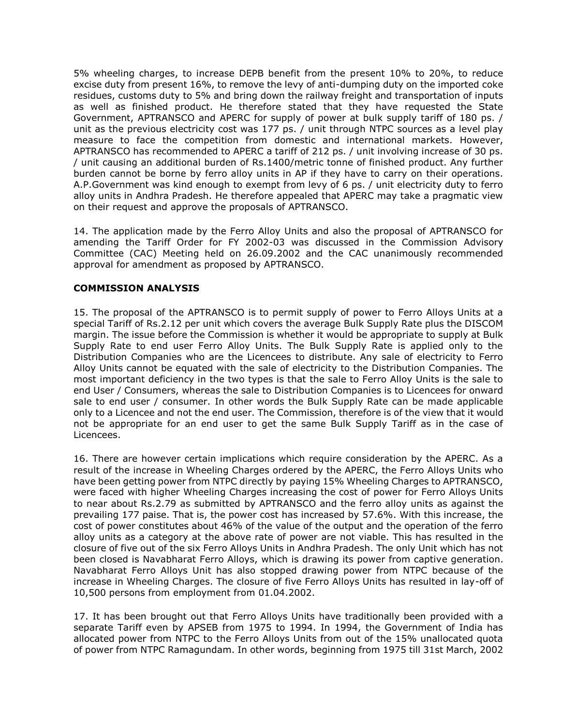5% wheeling charges, to increase DEPB benefit from the present 10% to 20%, to reduce excise duty from present 16%, to remove the levy of anti-dumping duty on the imported coke residues, customs duty to 5% and bring down the railway freight and transportation of inputs as well as finished product. He therefore stated that they have requested the State Government, APTRANSCO and APERC for supply of power at bulk supply tariff of 180 ps. / unit as the previous electricity cost was 177 ps. / unit through NTPC sources as a level play measure to face the competition from domestic and international markets. However, APTRANSCO has recommended to APERC a tariff of 212 ps. / unit involving increase of 30 ps. / unit causing an additional burden of Rs.1400/metric tonne of finished product. Any further burden cannot be borne by ferro alloy units in AP if they have to carry on their operations. A.P.Government was kind enough to exempt from levy of 6 ps. / unit electricity duty to ferro alloy units in Andhra Pradesh. He therefore appealed that APERC may take a pragmatic view on their request and approve the proposals of APTRANSCO.

14. The application made by the Ferro Alloy Units and also the proposal of APTRANSCO for amending the Tariff Order for FY 2002-03 was discussed in the Commission Advisory Committee (CAC) Meeting held on 26.09.2002 and the CAC unanimously recommended approval for amendment as proposed by APTRANSCO.

# **COMMISSION ANALYSIS**

15. The proposal of the APTRANSCO is to permit supply of power to Ferro Alloys Units at a special Tariff of Rs.2.12 per unit which covers the average Bulk Supply Rate plus the DISCOM margin. The issue before the Commission is whether it would be appropriate to supply at Bulk Supply Rate to end user Ferro Alloy Units. The Bulk Supply Rate is applied only to the Distribution Companies who are the Licencees to distribute. Any sale of electricity to Ferro Alloy Units cannot be equated with the sale of electricity to the Distribution Companies. The most important deficiency in the two types is that the sale to Ferro Alloy Units is the sale to end User / Consumers, whereas the sale to Distribution Companies is to Licencees for onward sale to end user / consumer. In other words the Bulk Supply Rate can be made applicable only to a Licencee and not the end user. The Commission, therefore is of the view that it would not be appropriate for an end user to get the same Bulk Supply Tariff as in the case of Licencees.

16. There are however certain implications which require consideration by the APERC. As a result of the increase in Wheeling Charges ordered by the APERC, the Ferro Alloys Units who have been getting power from NTPC directly by paying 15% Wheeling Charges to APTRANSCO, were faced with higher Wheeling Charges increasing the cost of power for Ferro Alloys Units to near about Rs.2.79 as submitted by APTRANSCO and the ferro alloy units as against the prevailing 177 paise. That is, the power cost has increased by 57.6%. With this increase, the cost of power constitutes about 46% of the value of the output and the operation of the ferro alloy units as a category at the above rate of power are not viable. This has resulted in the closure of five out of the six Ferro Alloys Units in Andhra Pradesh. The only Unit which has not been closed is Navabharat Ferro Alloys, which is drawing its power from captive generation. Navabharat Ferro Alloys Unit has also stopped drawing power from NTPC because of the increase in Wheeling Charges. The closure of five Ferro Alloys Units has resulted in lay-off of 10,500 persons from employment from 01.04.2002.

17. It has been brought out that Ferro Alloys Units have traditionally been provided with a separate Tariff even by APSEB from 1975 to 1994. In 1994, the Government of India has allocated power from NTPC to the Ferro Alloys Units from out of the 15% unallocated quota of power from NTPC Ramagundam. In other words, beginning from 1975 till 31st March, 2002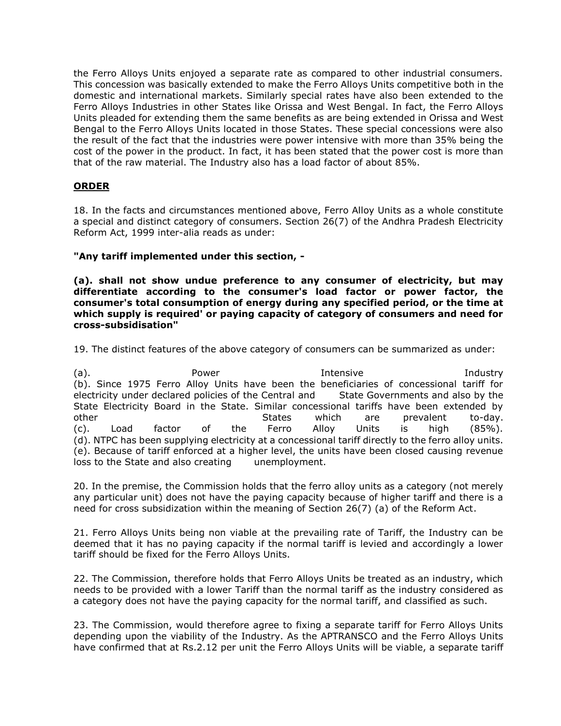the Ferro Alloys Units enjoyed a separate rate as compared to other industrial consumers. This concession was basically extended to make the Ferro Alloys Units competitive both in the domestic and international markets. Similarly special rates have also been extended to the Ferro Alloys Industries in other States like Orissa and West Bengal. In fact, the Ferro Alloys Units pleaded for extending them the same benefits as are being extended in Orissa and West Bengal to the Ferro Alloys Units located in those States. These special concessions were also the result of the fact that the industries were power intensive with more than 35% being the cost of the power in the product. In fact, it has been stated that the power cost is more than that of the raw material. The Industry also has a load factor of about 85%.

# **ORDER**

18. In the facts and circumstances mentioned above, Ferro Alloy Units as a whole constitute a special and distinct category of consumers. Section 26(7) of the Andhra Pradesh Electricity Reform Act, 1999 inter-alia reads as under:

# **"Any tariff implemented under this section, -**

**(a). shall not show undue preference to any consumer of electricity, but may differentiate according to the consumer's load factor or power factor, the consumer's total consumption of energy during any specified period, or the time at which supply is required' or paying capacity of category of consumers and need for cross-subsidisation"** 

19. The distinct features of the above category of consumers can be summarized as under:

(a). Power Intensive Industry (b). Since 1975 Ferro Alloy Units have been the beneficiaries of concessional tariff for electricity under declared policies of the Central and State Governments and also by the State Electricity Board in the State. Similar concessional tariffs have been extended by other states which are prevalent to-day. (c). Load factor of the Ferro Alloy Units is high (85%). (d). NTPC has been supplying electricity at a concessional tariff directly to the ferro alloy units. (e). Because of tariff enforced at a higher level, the units have been closed causing revenue loss to the State and also creating unemployment.

20. In the premise, the Commission holds that the ferro alloy units as a category (not merely any particular unit) does not have the paying capacity because of higher tariff and there is a need for cross subsidization within the meaning of Section 26(7) (a) of the Reform Act.

21. Ferro Alloys Units being non viable at the prevailing rate of Tariff, the Industry can be deemed that it has no paying capacity if the normal tariff is levied and accordingly a lower tariff should be fixed for the Ferro Alloys Units.

22. The Commission, therefore holds that Ferro Alloys Units be treated as an industry, which needs to be provided with a lower Tariff than the normal tariff as the industry considered as a category does not have the paying capacity for the normal tariff, and classified as such.

23. The Commission, would therefore agree to fixing a separate tariff for Ferro Alloys Units depending upon the viability of the Industry. As the APTRANSCO and the Ferro Alloys Units have confirmed that at Rs.2.12 per unit the Ferro Alloys Units will be viable, a separate tariff